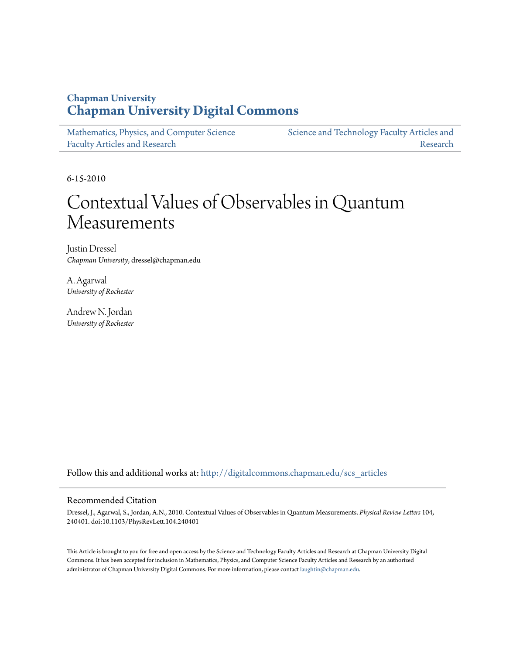### **Chapman University [Chapman University Digital Commons](http://digitalcommons.chapman.edu?utm_source=digitalcommons.chapman.edu%2Fscs_articles%2F360&utm_medium=PDF&utm_campaign=PDFCoverPages)**

| Mathematics, Physics, and Computer Science | Science and Technology Faculty Articles and |
|--------------------------------------------|---------------------------------------------|
| <b>Faculty Articles and Research</b>       | Research                                    |

6-15-2010

# Contextual Values of Observables in Quantum Measurements

Justin Dressel *Chapman University*, dressel@chapman.edu

A. Agarwal *University of Rochester*

Andrew N. Jordan *University of Rochester*

Follow this and additional works at: [http://digitalcommons.chapman.edu/scs\\_articles](http://digitalcommons.chapman.edu/scs_articles?utm_source=digitalcommons.chapman.edu%2Fscs_articles%2F360&utm_medium=PDF&utm_campaign=PDFCoverPages)

### Recommended Citation

Dressel, J., Agarwal, S., Jordan, A.N., 2010. Contextual Values of Observables in Quantum Measurements. *Physical Review Letters* 104, 240401. doi:10.1103/PhysRevLett.104.240401

This Article is brought to you for free and open access by the Science and Technology Faculty Articles and Research at Chapman University Digital Commons. It has been accepted for inclusion in Mathematics, Physics, and Computer Science Faculty Articles and Research by an authorized administrator of Chapman University Digital Commons. For more information, please contact [laughtin@chapman.edu.](mailto:laughtin@chapman.edu)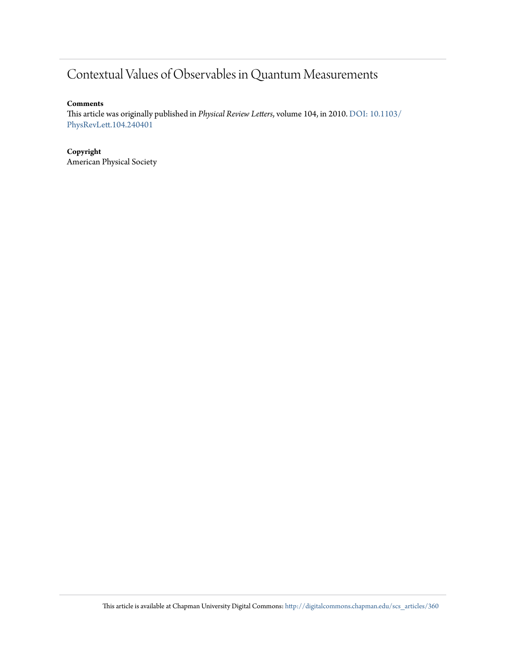## Contextual Values of Observables in Quantum Measurements

### **Comments**

This article was originally published in *Physical Review Letters*, volume 104, in 2010. [DOI: 10.1103/](http://dx.doi.org/10.1103/PhysRevLett.104.240401) [PhysRevLett.104.240401](http://dx.doi.org/10.1103/PhysRevLett.104.240401)

### **Copyright** American Physical Society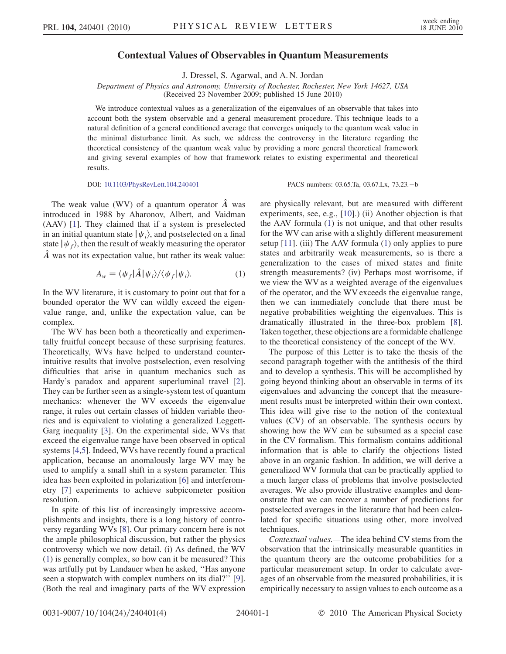#### Contextual Values of Observables in Quantum Measurements

J. Dressel, S. Agarwal, and A. N. Jordan

Department of Physics and Astronomy, University of Rochester, Rochester, New York 14627, USA (Received 23 November 2009; published 15 June 2010)

We introduce contextual values as a generalization of the eigenvalues of an observable that takes into account both the system observable and a general measurement procedure. This technique leads to a natural definition of a general conditioned average that converges uniquely to the quantum weak value in the minimal disturbance limit. As such, we address the controversy in the literature regarding the theoretical consistency of the quantum weak value by providing a more general theoretical framework and giving several examples of how that framework relates to existing experimental and theoretical results.

DOI: [10.1103/PhysRevLett.104.240401](http://dx.doi.org/10.1103/PhysRevLett.104.240401) PACS numbers: 03.65.Ta, 03.67.Lx, 73.23. -b

The weak value (WV) of a quantum operator  $\hat{A}$  was introduced in 1988 by Aharonov, Albert, and Vaidman (AAV) [[1\]](#page-5-0). They claimed that if a system is preselected in an initial quantum state  $|\psi_i\rangle$ , and postselected on a final state  $|\psi_f\rangle$ , then the result of weakly measuring the operator  $\ddot{A}$  was not its expectation value, but rather its weak value:

$$
A_w = \langle \psi_f | \hat{A} | \psi_i \rangle / \langle \psi_f | \psi_i \rangle. \tag{1}
$$

<span id="page-2-0"></span>In the WV literature, it is customary to point out that for a bounded operator the WV can wildly exceed the eigenvalue range, and, unlike the expectation value, can be complex.

The WV has been both a theoretically and experimentally fruitful concept because of these surprising features. Theoretically, WVs have helped to understand counterintuitive results that involve postselection, even resolving difficulties that arise in quantum mechanics such as Hardy's paradox and apparent superluminal travel [[2\]](#page-5-1). They can be further seen as a single-system test of quantum mechanics: whenever the WV exceeds the eigenvalue range, it rules out certain classes of hidden variable theories and is equivalent to violating a generalized Leggett-Garg inequality [[3](#page-5-2)]. On the experimental side, WVs that exceed the eigenvalue range have been observed in optical systems [[4,](#page-5-3)[5\]](#page-5-4). Indeed, WVs have recently found a practical application, because an anomalously large WV may be used to amplify a small shift in a system parameter. This idea has been exploited in polarization [\[6](#page-5-5)] and interferometry [[7\]](#page-5-6) experiments to achieve subpicometer position resolution.

In spite of this list of increasingly impressive accomplishments and insights, there is a long history of controversy regarding WVs [[8](#page-5-7)]. Our primary concern here is not the ample philosophical discussion, but rather the physics controversy which we now detail. (i) As defined, the WV [\(1\)](#page-2-0) is generally complex, so how can it be measured? This was artfully put by Landauer when he asked, ''Has anyone seen a stopwatch with complex numbers on its dial?'' [[9\]](#page-5-8). (Both the real and imaginary parts of the WV expression

are physically relevant, but are measured with different experiments, see, e.g., [\[10\]](#page-5-9).) (ii) Another objection is that the AAV formula [\(1](#page-2-0)) is not unique, and that other results for the WV can arise with a slightly different measurement setup [\[11\]](#page-5-10). (iii) The AAV formula ([1\)](#page-2-0) only applies to pure states and arbitrarily weak measurements, so is there a generalization to the cases of mixed states and finite strength measurements? (iv) Perhaps most worrisome, if we view the WV as a weighted average of the eigenvalues of the operator, and the WV exceeds the eigenvalue range, then we can immediately conclude that there must be negative probabilities weighting the eigenvalues. This is dramatically illustrated in the three-box problem [[8\]](#page-5-7). Taken together, these objections are a formidable challenge to the theoretical consistency of the concept of the WV.

The purpose of this Letter is to take the thesis of the second paragraph together with the antithesis of the third and to develop a synthesis. This will be accomplished by going beyond thinking about an observable in terms of its eigenvalues and advancing the concept that the measurement results must be interpreted within their own context. This idea will give rise to the notion of the contextual values (CV) of an observable. The synthesis occurs by showing how the WV can be subsumed as a special case in the CV formalism. This formalism contains additional information that is able to clarify the objections listed above in an organic fashion. In addition, we will derive a generalized WV formula that can be practically applied to a much larger class of problems that involve postselected averages. We also provide illustrative examples and demonstrate that we can recover a number of predictions for postselected averages in the literature that had been calculated for specific situations using other, more involved techniques.

Contextual values.—The idea behind CV stems from the observation that the intrinsically measurable quantities in the quantum theory are the outcome probabilities for a particular measurement setup. In order to calculate averages of an observable from the measured probabilities, it is empirically necessary to assign values to each outcome as a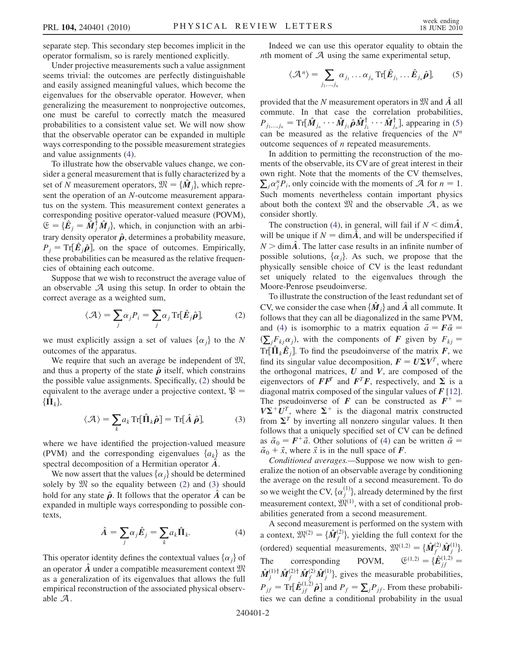separate step. This secondary step becomes implicit in the operator formalism, so is rarely mentioned explicitly.

Under projective measurements such a value assignment seems trivial: the outcomes are perfectly distinguishable and easily assigned meaningful values, which become the eigenvalues for the observable operator. However, when generalizing the measurement to nonprojective outcomes, one must be careful to correctly match the measured probabilities to a consistent value set. We will now show that the observable operator can be expanded in multiple ways corresponding to the possible measurement strategies and value assignments [\(4\)](#page-3-0).

To illustrate how the observable values change, we consider a general measurement that is fully characterized by a set of N measurement operators,  $\mathfrak{M} = {\{\mathbf{\mathbf{\mathcal{M}}}_i\}}$ , which represent the operation of an N-outcome measurement apparatus on the system. This measurement context generates a corresponding positive operator-valued measure (POVM),  $\mathfrak{E} = {\hat{\mathbf{E}}}_j = \hat{\mathbf{M}}_j^{\dagger} \hat{\mathbf{M}}_j$ , which, in conjunction with an arbi-<br>trent doneity operator  $\hat{\mathbf{a}}$  determines a probability measure. trary density operator  $\hat{\rho}$ , determines a probability measure,  $P_j = \text{Tr}[\hat{E}_j \hat{\rho}]$ , on the space of outcomes. Empirically,<br>these probabilities can be measured as the relative frequenthese probabilities can be measured as the relative frequencies of obtaining each outcome.

<span id="page-3-1"></span>Suppose that we wish to reconstruct the average value of an observable  $A$  using this setup. In order to obtain the correct average as a weighted sum,

$$
\langle \mathcal{A} \rangle = \sum_{j} \alpha_{j} P_{i} = \sum_{j} \alpha_{j} \operatorname{Tr}[\hat{E}_{j} \hat{\rho}], \tag{2}
$$

we must explicitly assign a set of values  $\{\alpha_i\}$  to the N outcomes of the apparatus.

We require that such an average be independent of  $\mathfrak{M}$ , and thus a property of the state  $\hat{\rho}$  itself, which constrains the possible value assignments. Specifically, ([2\)](#page-3-1) should be equivalent to the average under a projective context,  $\mathcal{R} =$  $\{\dot{\mathbf{\Pi}}_k\},\$ 

$$
\langle \mathcal{A} \rangle = \sum_{k} a_{k} \operatorname{Tr}[\hat{\Pi}_{k} \hat{\boldsymbol{\rho}}] = \operatorname{Tr}[\hat{A} \hat{\boldsymbol{\rho}}], \tag{3}
$$

<span id="page-3-2"></span>where we have identified the projection-valued measure (PVM) and the corresponding eigenvalues  $\{a_k\}$  as the spectral decomposition of a Hermitian operator  $\ddot{A}$ .

We now assert that the values  $\{\alpha_i\}$  should be determined solely by  $\mathfrak{M}$  so the equality between ([2](#page-3-1)) and [\(3\)](#page-3-2) should hold for any state  $\hat{\rho}$ . It follows that the operator  $\hat{A}$  can be expanded in multiple ways corresponding to possible contexts,

$$
\hat{A} = \sum_{j} \alpha_{j} \hat{E}_{j} = \sum_{k} a_{k} \hat{\Pi}_{k}.
$$
 (4)

<span id="page-3-0"></span>This operator identity defines the contextual values  $\{\alpha_i\}$  of an operator  $\hat{A}$  under a compatible measurement context  $\mathfrak{M}$ as a generalization of its eigenvalues that allows the full empirical reconstruction of the associated physical observable A.

<span id="page-3-3"></span>Indeed we can use this operator equality to obtain the *nth* moment of  $\mathcal A$  using the same experimental setup,

$$
\langle \mathcal{A}^n \rangle = \sum_{j_1, \dots, j_n} \alpha_{j_1} \dots \alpha_{j_n} \operatorname{Tr}[\hat{E}_{j_1} \dots \hat{E}_{j_n} \hat{\boldsymbol{\rho}}], \qquad (5)
$$

provided that the N measurement operators in  $\mathfrak{M}$  and A all commute. In that case the correlation probabilities,  $P_{j_1,\dots,j_n} = \text{Tr}[\hat{\boldsymbol{M}}_{j_n} \cdots \hat{\boldsymbol{M}}_{j_1}\hat{\boldsymbol{\rho}} \hat{\boldsymbol{M}}_{j_1}^{\dagger} \cdots \hat{\boldsymbol{M}}_{j_n}^{\dagger}],$  appearing in [\(5\)](#page-3-3)<br>can be measured as the relative frequencies of the  $N^m$ can be measured as the relative frequencies of the  $N^n$ outcome sequences of n repeated measurements.

In addition to permitting the reconstruction of the moments of the observable, its CV are of great interest in their own right. Note that the moments of the CV themselves,  $\sum_j \alpha_j^n \overline{P}_i$ , only coincide with the moments of A for  $n = 1$ .<br>Such moments, nevertheless, contain, important, physics Such moments nevertheless contain important physics about both the context  $\mathfrak{M}$  and the observable  $\mathcal{A}$ , as we consider shortly.

The construction [\(4](#page-3-0)), in general, will fail if  $N < \dim \tilde{A}$ , will be unique if  $N = \dim \hat{A}$ , and will be underspecified if  $N > \dim \hat{A}$ . The latter case results in an infinite number of possible solutions,  $\{\alpha_i\}$ . As such, we propose that the physically sensible choice of CV is the least redundant set uniquely related to the eigenvalues through the Moore-Penrose pseudoinverse.

To illustrate the construction of the least redundant set of CV, we consider the case when  $\{M_i\}$  and A all commute. It follows that they can all be diagonalized in the same PVM, and ([4\)](#page-3-0) is isomorphic to a matrix equation  $\vec{a} = \vec{F} \vec{\alpha}$  =  $Tr[\hat{\mathbf{\Pi}}_k \hat{E}_j]$ . To find the pseudoinverse of the matrix  $\vec{F}$ , we find its singular value decomposition  $\vec{F} = I/\nabla V^T$ , where  $\sum_{j} F_{kj} \alpha_j$ , with the components of F given by  $F_{kj} =$ <br> $\sum_{j} \prod_{j} \hat{F}_{kj} \alpha_j$ . To find the provide waves of the matrix  $F_{kj}$  we find its singular value decomposition,  $\mathbf{F} = U \Sigma V^T$ , where<br>the orthogonal matrices II and V are composed of the the orthogonal matrices,  $U$  and  $V$ , are composed of the eigenvectors of  $\boldsymbol{F}\boldsymbol{F}^T$  and  $\boldsymbol{F}^T\boldsymbol{F}$ , respectively, and  $\Sigma$  is a diagonal matrix composed of the singular values of  $F$  [[12\]](#page-5-11). The pseudoinverse of F can be constructed as  $F^+$  =  $V\Sigma^+ U^T$ , where  $\Sigma^+$  is the diagonal matrix constructed from  $\Sigma^T$  by inverting all nonzero singular values. It then follows that a uniquely specified set of CV can be defined as  $\vec{a}_0 = F^+ \vec{a}$ . Other solutions of ([4](#page-3-0)) can be written  $\vec{\alpha} =$  $\vec{\alpha}_0 + \vec{x}$ , where  $\vec{x}$  is in the null space of **F**.

Conditioned averages.—Suppose we now wish to generalize the notion of an observable average by conditioning the average on the result of a second measurement. To do so we weight the CV,  $\{\alpha_j^{(1)}\}$ , already determined by the first measurement context,  $\mathfrak{M}^{(1)}$ , with a set of conditional probabilities generated from a second measurement.

A second measurement is performed on the system with a context,  $\mathfrak{M}^{(2)} = {\hat{M}_f^{(2)}}$ , yielding the full context for the (ordered) sequential measurements,  $\mathfrak{M}^{(1,2)} = {\hat{M}_f^{(2)} \hat{M}_j^{(1)}}$ . The corresponding POVM,  $\mathfrak{E}^{(1,2)} = {\{\hat{E}}_{jf}^{(1,2)}} = \hat{M}_j^{(1)\dagger} \hat{M}_j^{(2)\dagger} \hat{M}_j^{(2)} \hat{M}_j^{(1)}\}$ , gives the measurable probabilities,  $\mathfrak{E}^{(1,2)} = {\hat{E}^{(1,2)}_{if}} =$  $P_{jf} = \text{Tr}[\hat{E}_{jf}^{(1,2)}\hat{\boldsymbol{\rho}}]$  and  $P_f = \sum_j P_{jf}$ . From these probabilities we can define a conditional probability in the usual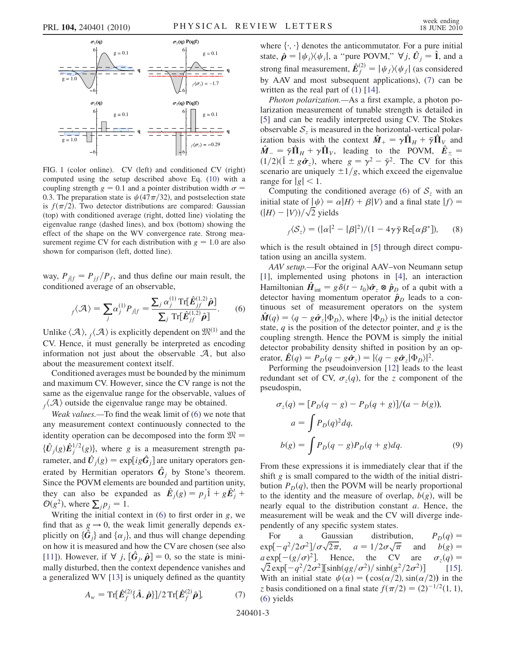<span id="page-4-2"></span>

FIG. 1 (color online). CV (left) and conditioned CV (right) computed using the setup described above Eq. ([10](#page-5-15)) with a coupling strength  $g = 0.1$  and a pointer distribution width  $\sigma =$ 0.3. The preparation state is  $\psi(47\pi/32)$ , and postselection state is  $f(\pi/2)$ . Two detector distributions are compared: Gaussian (top) with conditioned average (right, dotted line) violating the eigenvalue range (dashed lines), and box (bottom) showing the effect of the shape on the WV convergence rate. Strong measurement regime CV for each distribution with  $g = 1.0$  are also shown for comparison (left, dotted line).

<span id="page-4-0"></span>way,  $P_{j|f} = P_{if}/P_f$ , and thus define our main result, the conditioned average of an observable,

$$
f_{f}(\mathcal{A}) = \sum_{j} \alpha_{j}^{(1)} P_{j|f} = \frac{\sum_{j} \alpha_{j}^{(1)} \operatorname{Tr}[\hat{E}_{jf}^{(1,2)} \hat{\boldsymbol{\rho}}]}{\sum_{j} \operatorname{Tr}[\hat{E}_{jf}^{(1,2)} \hat{\boldsymbol{\rho}}]}.
$$
 (6)

Unlike  $\langle A \rangle$ ,  $_f\langle A \rangle$  is explicitly dependent on  $\mathfrak{M}^{(1)}$  and the CV. Hence, it must generally be interpreted as encoding information not just about the observable  $A$ , but also about the measurement context itself.

Conditioned averages must be bounded by the minimum and maximum CV. However, since the CV range is not the same as the eigenvalue range for the observable, values of  $f(\mathcal{A})$  outside the eigenvalue range may be obtained.

Weak values.—To find the weak limit of ([6](#page-4-0)) we note that any measurement context continuously connected to the identity operation can be decomposed into the form  $\mathfrak{M} =$  ${\{\hat{U}_j(g)\hat{E}_j^{1/2}(g)\}}$ , where g is a measurement strength parameter, and  $\hat{U}_j(g) = \exp[i g \hat{G}_j]$  are unitary operators generated by Hermitian operators  $\hat{G}_j$  by Stone's theorem. Since the POVM elements are bounded and partition unity, they can also be expanded as  $\hat{E}_j(g) = p_j \hat{1} + g \hat{E}'_j +$ <br> $\mathcal{O}(\sigma^2)$  where  $\Sigma$   $p_i = 1$  $\mathcal{O}(g^2)$ , where  $\sum_j p_j = 1$ .<br>Writing the initial con-

Writing the initial context in  $(6)$  to first order in g, we find that as  $g \rightarrow 0$ , the weak limit generally depends explicitly on  $\{\hat{G}_j\}$  and  $\{\alpha_j\}$ , and thus will change depending<br>on how it is measured and how the CV are chosen (see also on how it is measured and how the CV are chosen (see also [\[11\]](#page-5-10)). However, if  $\nabla j$ ,  $[\hat{G}_j, \hat{\rho}] = 0$ , so the state is mini-<br>mally disturbed, then the context dependence vanishes and mally disturbed, then the context dependence vanishes and a generalized WV [[13](#page-5-12)] is uniquely defined as the quantity

<span id="page-4-1"></span>
$$
A_w = \operatorname{Tr}[\hat{E}_f^{(2)}\{\hat{A},\hat{\boldsymbol{\rho}}\}]/2 \operatorname{Tr}[\hat{E}_f^{(2)}\hat{\boldsymbol{\rho}}],\tag{7}
$$

where  $\{\cdot, \cdot\}$  denotes the anticommutator. For a pure initial state,  $\hat{\boldsymbol{\rho}} = |\psi_i\rangle\langle\psi_i|$ , a "pure POVM,"  $\nabla j$ ,  $\hat{U}_j = \hat{\mathbf{I}}$ , and a strong final measurement,  $\hat{E}_f^{(2)} = |\psi_f\rangle\langle\psi_f|$  (as considered<br>by AAV and meat subsequent embiontions). (7) can be by AAV and most subsequent applications), [\(7](#page-4-1)) can be written as the real part of  $(1)$  $(1)$  [[14](#page-5-13)].

Photon polarization.—As a first example, a photon polarization measurement of tunable strength is detailed in [\[5\]](#page-5-4) and can be readily interpreted using CV. The Stokes observable  $S<sub>z</sub>$  is measured in the horizontal-vertical polarization basis with the context  $\hat{M}_+ = \gamma \hat{\Pi}_H + \bar{\gamma} \hat{\Pi}_V$  and<br> $\hat{M}_- = \bar{\gamma} \hat{\Pi}_+ + \gamma \hat{\Pi}_-$  leading to the POVM  $\hat{F}_ \hat{M}_{-} = \bar{\gamma} \hat{\Pi}_{H} + \gamma \hat{\Pi}_{V}$ , leading to the POVM,  $\hat{E}_{\pm} = (1/2)(\hat{1} + a\hat{\sigma})$ , where  $a = \gamma^2 - \bar{\gamma}^2$ . The CV for this  $(1/2)(1 + 3\hat{\sigma}_z)$ , where  $g = \gamma^2 - \bar{\gamma}^2$ . The CV for this scenario are uniquely  $\pm 1/g$ , which exceed the eigenvalue range for  $|g|$  < 1.

Computing the conditioned average [\(6](#page-4-0)) of  $S_z$  with an initial state of  $|\psi\rangle = \alpha |H\rangle + \beta |V\rangle$  and a final state  $|f\rangle =$  $(|H\rangle - |V\rangle)/\sqrt{2}$  yields

$$
f\langle S_z \rangle = (|\alpha|^2 - |\beta|^2)/(1 - 4\gamma \bar{\gamma} \operatorname{Re}[\alpha \beta^*]), \qquad (8)
$$

which is the result obtained in [\[5\]](#page-5-4) through direct computation using an ancilla system.

AAV setup.—For the original AAV–von Neumann setup [\[1\]](#page-5-0), implemented using photons in [[4](#page-5-3)], an interaction Hamiltonian  $\hat{H}_{int} = g\delta(t - t_0)\hat{\sigma}_z \otimes \hat{p}_D$  of a qubit with a detector having momentum operator  $\hat{\mathbf{n}}_p$  leads to a condetector having momentum operator  $\hat{p}_D$  leads to a continuous set of measurement operators on the system  $\hat{M}(q) = \langle q - g \hat{\sigma}_z | \Phi_D \rangle$ , where  $| \Phi_D \rangle$  is the initial detector<br>state *a* is the nosition of the detector pointer and *g* is the state,  $q$  is the position of the detector pointer, and  $g$  is the coupling strength. Hence the POVM is simply the initial detector probability density shifted in position by an operator,  $\mathbf{\hat{E}}(q) = P_D(q - g\hat{\sigma}_z) = |\langle q - g\hat{\sigma}_z|\Phi_D\rangle|^2$ .<br>Performing the pseudoinversion [12] leads to

Performing the pseudoinversion [\[12](#page-5-11)] leads to the least redundant set of CV,  $\sigma_z(q)$ , for the z component of the pseudospin,

$$
\sigma_z(q) = [P_D(q - g) - P_D(q + g)]/(a - b(g)),
$$
  
\n
$$
a = \int P_D(q)^2 dq,
$$
  
\n
$$
b(g) = \int P_D(q - g)P_D(q + g) dq.
$$
\n(9)

From these expressions it is immediately clear that if the shift g is small compared to the width of the initial distribution  $P_D(q)$ , then the POVM will be nearly proportional to the identity and the measure of overlap,  $b(g)$ , will be nearly equal to the distribution constant a. Hence, the measurement will be weak and the CV will diverge independently of any specific system states.

For a Gaussian distribution,  $P_D(q) =$ <br> $p[-a^2/2\sigma^2]/(\sigma\sqrt{2\pi})$   $q = 1/2\sigma\sqrt{\pi}$  and  $p(a) =$  $\exp[-q^2/2\sigma^2]/\sigma\sqrt{2\pi}$  $\sqrt{2\pi}$ ,  $a = 1/2\sigma\sqrt{\pi}$ <br>Hence the CV  $a = 1/2\sigma\sqrt{\pi}$ and  $b(g) =$ <br>are  $\sigma_z(q) =$  $a \exp[-(g/\sigma)^2]$ <br> $\sqrt{2} \exp[-a^2/2]$  $a \exp[-(g/\sigma)^2]$ . Hence, the CV are  $\sigma_z(q) = \sqrt{2} \exp[-q^2/2\sigma^2] [\sinh(qg/\sigma^2)/\sinh(g^2/2\sigma^2)]$  [15].<br>With an initial state  $u(\alpha) = (\cos(\alpha/2) \sin(\alpha/2))$  in the  $[15]$  $[15]$ . With an initial state  $\psi(\alpha) = (\cos(\alpha/2), \sin(\alpha/2))$  in the z basis conditioned on a final state  $f(\pi/2) = (2)^{-1/2}(1, 1)$ ,<br>(6) vields [\(6\)](#page-4-0) yields